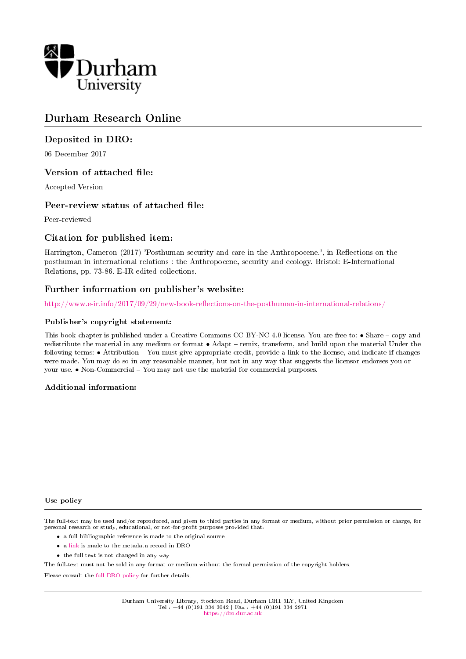

# Durham Research Online

### Deposited in DRO:

06 December 2017

### Version of attached file:

Accepted Version

### Peer-review status of attached file:

Peer-reviewed

### Citation for published item:

Harrington, Cameron (2017) 'Posthuman security and care in the Anthropocene.', in Reflections on the posthuman in international relations : the Anthropocene, security and ecology. Bristol: E-International Relations, pp. 73-86. E-IR edited collections.

### Further information on publisher's website:

http://www.e-ir.info/2017/09/29/new-book-reflections-on-the-posthuman-in-international-relations/

### Publisher's copyright statement:

This book chapter is published under a Creative Commons CC BY-NC 4.0 license. You are free to: • Share – copy and redistribute the material in any medium or format  $\bullet$  Adapt - remix, transform, and build upon the material Under the following terms: • Attribution – You must give appropriate credit, provide a link to the license, and indicate if changes were made. You may do so in any reasonable manner, but not in any way that suggests the licensor endorses you or your use. • Non-Commercial - You may not use the material for commercial purposes.

#### Additional information:

#### Use policy

The full-text may be used and/or reproduced, and given to third parties in any format or medium, without prior permission or charge, for personal research or study, educational, or not-for-profit purposes provided that:

- a full bibliographic reference is made to the original source
- a [link](http://dro.dur.ac.uk/23641/) is made to the metadata record in DRO
- the full-text is not changed in any way

The full-text must not be sold in any format or medium without the formal permission of the copyright holders.

Please consult the [full DRO policy](https://dro.dur.ac.uk/policies/usepolicy.pdf) for further details.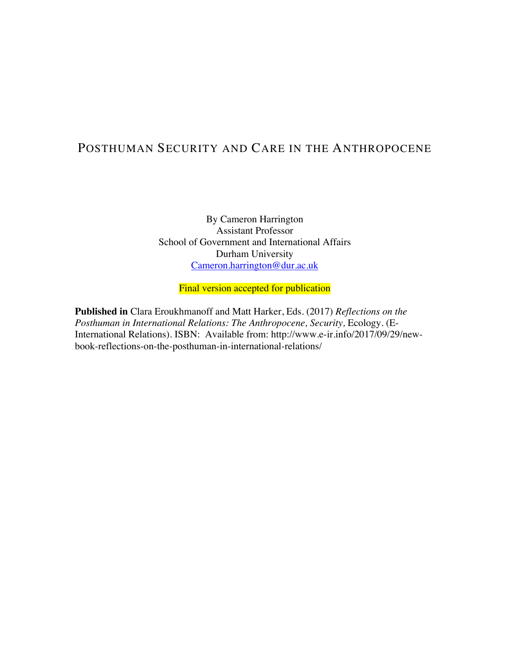# POSTHUMAN SECURITY AND CARE IN THE ANTHROPOCENE

By Cameron Harrington Assistant Professor School of Government and International Affairs Durham University Cameron.harrington@dur.ac.uk

Final version accepted for publication

**Published in** Clara Eroukhmanoff and Matt Harker, Eds. (2017) *Reflections on the Posthuman in International Relations: The Anthropocene, Security, Ecology. (E-*International Relations). ISBN: Available from: http://www.e-ir.info/2017/09/29/newbook-reflections-on-the-posthuman-in-international-relations/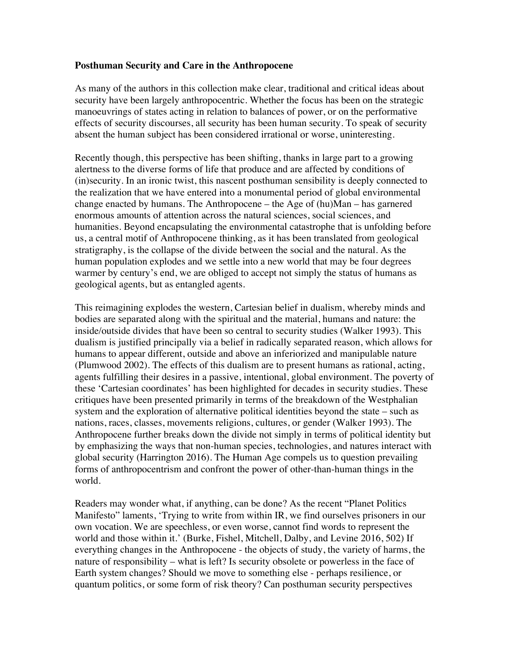### **Posthuman Security and Care in the Anthropocene**

As many of the authors in this collection make clear, traditional and critical ideas about security have been largely anthropocentric. Whether the focus has been on the strategic manoeuvrings of states acting in relation to balances of power, or on the performative effects of security discourses, all security has been human security. To speak of security absent the human subject has been considered irrational or worse, uninteresting.

Recently though, this perspective has been shifting, thanks in large part to a growing alertness to the diverse forms of life that produce and are affected by conditions of (in)security. In an ironic twist, this nascent posthuman sensibility is deeply connected to the realization that we have entered into a monumental period of global environmental change enacted by humans. The Anthropocene – the Age of (hu)Man – has garnered enormous amounts of attention across the natural sciences, social sciences, and humanities. Beyond encapsulating the environmental catastrophe that is unfolding before us, a central motif of Anthropocene thinking, as it has been translated from geological stratigraphy, is the collapse of the divide between the social and the natural. As the human population explodes and we settle into a new world that may be four degrees warmer by century's end, we are obliged to accept not simply the status of humans as geological agents, but as entangled agents.

This reimagining explodes the western, Cartesian belief in dualism, whereby minds and bodies are separated along with the spiritual and the material, humans and nature: the inside/outside divides that have been so central to security studies (Walker 1993). This dualism is justified principally via a belief in radically separated reason, which allows for humans to appear different, outside and above an inferiorized and manipulable nature (Plumwood 2002). The effects of this dualism are to present humans as rational, acting, agents fulfilling their desires in a passive, intentional, global environment. The poverty of these 'Cartesian coordinates' has been highlighted for decades in security studies. These critiques have been presented primarily in terms of the breakdown of the Westphalian system and the exploration of alternative political identities beyond the state – such as nations, races, classes, movements religions, cultures, or gender (Walker 1993). The Anthropocene further breaks down the divide not simply in terms of political identity but by emphasizing the ways that non-human species, technologies, and natures interact with global security (Harrington 2016). The Human Age compels us to question prevailing forms of anthropocentrism and confront the power of other-than-human things in the world.

Readers may wonder what, if anything, can be done? As the recent "Planet Politics Manifesto" laments, 'Trying to write from within IR, we find ourselves prisoners in our own vocation. We are speechless, or even worse, cannot find words to represent the world and those within it.' (Burke, Fishel, Mitchell, Dalby, and Levine 2016, 502) If everything changes in the Anthropocene - the objects of study, the variety of harms, the nature of responsibility – what is left? Is security obsolete or powerless in the face of Earth system changes? Should we move to something else - perhaps resilience, or quantum politics, or some form of risk theory? Can posthuman security perspectives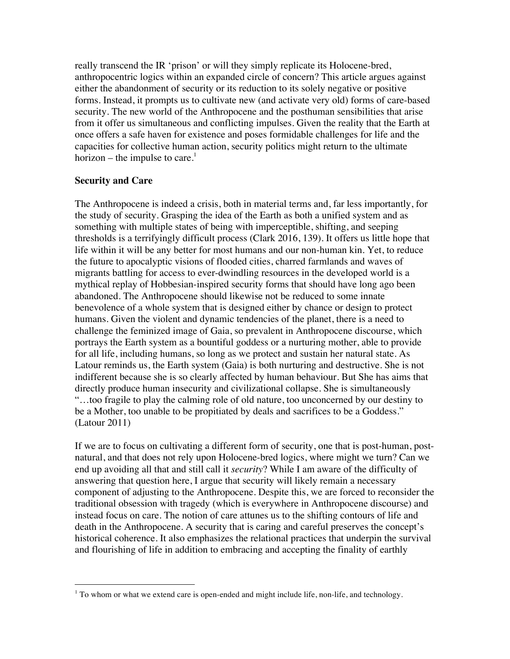really transcend the IR 'prison' or will they simply replicate its Holocene-bred, anthropocentric logics within an expanded circle of concern? This article argues against either the abandonment of security or its reduction to its solely negative or positive forms. Instead, it prompts us to cultivate new (and activate very old) forms of care-based security. The new world of the Anthropocene and the posthuman sensibilities that arise from it offer us simultaneous and conflicting impulses. Given the reality that the Earth at once offers a safe haven for existence and poses formidable challenges for life and the capacities for collective human action, security politics might return to the ultimate horizon – the impulse to care.<sup>1</sup>

### **Security and Care**

 

The Anthropocene is indeed a crisis, both in material terms and, far less importantly, for the study of security. Grasping the idea of the Earth as both a unified system and as something with multiple states of being with imperceptible, shifting, and seeping thresholds is a terrifyingly difficult process (Clark 2016, 139). It offers us little hope that life within it will be any better for most humans and our non-human kin. Yet, to reduce the future to apocalyptic visions of flooded cities, charred farmlands and waves of migrants battling for access to ever-dwindling resources in the developed world is a mythical replay of Hobbesian-inspired security forms that should have long ago been abandoned. The Anthropocene should likewise not be reduced to some innate benevolence of a whole system that is designed either by chance or design to protect humans. Given the violent and dynamic tendencies of the planet, there is a need to challenge the feminized image of Gaia, so prevalent in Anthropocene discourse, which portrays the Earth system as a bountiful goddess or a nurturing mother, able to provide for all life, including humans, so long as we protect and sustain her natural state. As Latour reminds us, the Earth system (Gaia) is both nurturing and destructive. She is not indifferent because she is so clearly affected by human behaviour. But She has aims that directly produce human insecurity and civilizational collapse. She is simultaneously "…too fragile to play the calming role of old nature, too unconcerned by our destiny to be a Mother, too unable to be propitiated by deals and sacrifices to be a Goddess." (Latour 2011)

If we are to focus on cultivating a different form of security, one that is post-human, postnatural, and that does not rely upon Holocene-bred logics, where might we turn? Can we end up avoiding all that and still call it *security*? While I am aware of the difficulty of answering that question here, I argue that security will likely remain a necessary component of adjusting to the Anthropocene. Despite this, we are forced to reconsider the traditional obsession with tragedy (which is everywhere in Anthropocene discourse) and instead focus on care. The notion of care attunes us to the shifting contours of life and death in the Anthropocene. A security that is caring and careful preserves the concept's historical coherence. It also emphasizes the relational practices that underpin the survival and flourishing of life in addition to embracing and accepting the finality of earthly

 $1$  To whom or what we extend care is open-ended and might include life, non-life, and technology.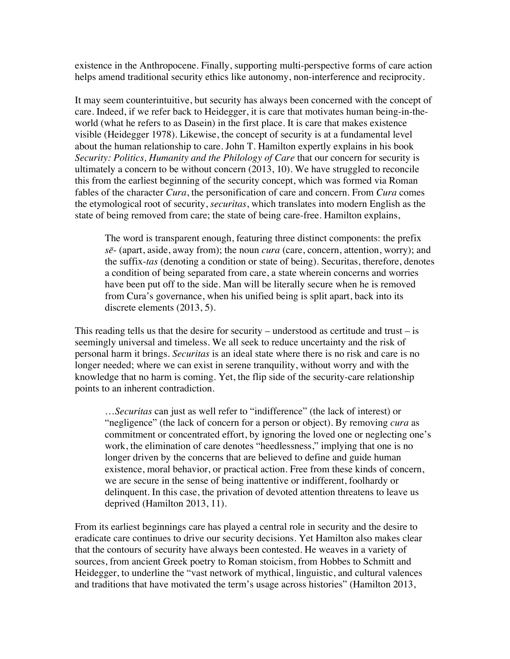existence in the Anthropocene. Finally, supporting multi-perspective forms of care action helps amend traditional security ethics like autonomy, non-interference and reciprocity.

It may seem counterintuitive, but security has always been concerned with the concept of care. Indeed, if we refer back to Heidegger, it is care that motivates human being-in-theworld (what he refers to as Dasein) in the first place. It is care that makes existence visible (Heidegger 1978). Likewise, the concept of security is at a fundamental level about the human relationship to care. John T. Hamilton expertly explains in his book *Security: Politics, Humanity and the Philology of Care* that our concern for security is ultimately a concern to be without concern (2013, 10). We have struggled to reconcile this from the earliest beginning of the security concept, which was formed via Roman fables of the character *Cura*, the personification of care and concern. From *Cura* comes the etymological root of security, *securitas*, which translates into modern English as the state of being removed from care; the state of being care-free. Hamilton explains,

The word is transparent enough, featuring three distinct components: the prefix *sē*- (apart, aside, away from); the noun *cura* (care, concern, attention, worry); and the suffix-*tas* (denoting a condition or state of being). Securitas, therefore, denotes a condition of being separated from care, a state wherein concerns and worries have been put off to the side. Man will be literally secure when he is removed from Cura's governance, when his unified being is split apart, back into its discrete elements (2013, 5).

This reading tells us that the desire for security – understood as certitude and trust – is seemingly universal and timeless. We all seek to reduce uncertainty and the risk of personal harm it brings. *Securitas* is an ideal state where there is no risk and care is no longer needed; where we can exist in serene tranquility, without worry and with the knowledge that no harm is coming. Yet, the flip side of the security-care relationship points to an inherent contradiction.

…*Securitas* can just as well refer to "indifference" (the lack of interest) or "negligence" (the lack of concern for a person or object). By removing *cura* as commitment or concentrated effort, by ignoring the loved one or neglecting one's work, the elimination of care denotes "heedlessness," implying that one is no longer driven by the concerns that are believed to define and guide human existence, moral behavior, or practical action. Free from these kinds of concern, we are secure in the sense of being inattentive or indifferent, foolhardy or delinquent. In this case, the privation of devoted attention threatens to leave us deprived (Hamilton 2013, 11).

From its earliest beginnings care has played a central role in security and the desire to eradicate care continues to drive our security decisions. Yet Hamilton also makes clear that the contours of security have always been contested. He weaves in a variety of sources, from ancient Greek poetry to Roman stoicism, from Hobbes to Schmitt and Heidegger, to underline the "vast network of mythical, linguistic, and cultural valences and traditions that have motivated the term's usage across histories" (Hamilton 2013,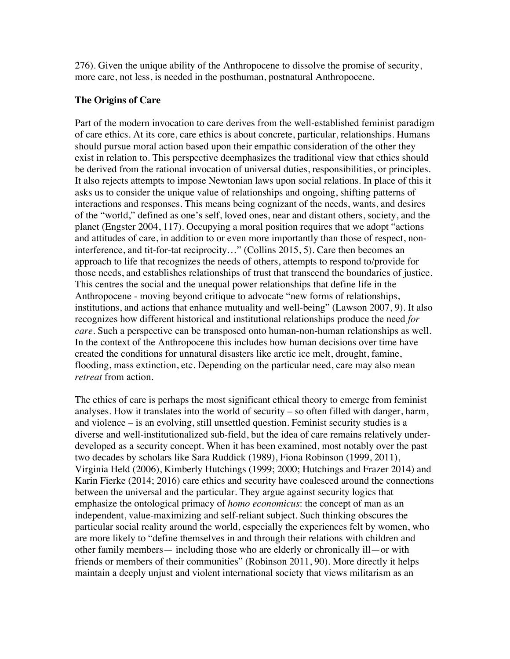276). Given the unique ability of the Anthropocene to dissolve the promise of security, more care, not less, is needed in the posthuman, postnatural Anthropocene.

### **The Origins of Care**

Part of the modern invocation to care derives from the well-established feminist paradigm of care ethics. At its core, care ethics is about concrete, particular, relationships. Humans should pursue moral action based upon their empathic consideration of the other they exist in relation to. This perspective deemphasizes the traditional view that ethics should be derived from the rational invocation of universal duties, responsibilities, or principles. It also rejects attempts to impose Newtonian laws upon social relations. In place of this it asks us to consider the unique value of relationships and ongoing, shifting patterns of interactions and responses. This means being cognizant of the needs, wants, and desires of the "world," defined as one's self, loved ones, near and distant others, society, and the planet (Engster 2004, 117). Occupying a moral position requires that we adopt "actions and attitudes of care, in addition to or even more importantly than those of respect, noninterference, and tit-for-tat reciprocity…" (Collins 2015, 5). Care then becomes an approach to life that recognizes the needs of others, attempts to respond to/provide for those needs, and establishes relationships of trust that transcend the boundaries of justice. This centres the social and the unequal power relationships that define life in the Anthropocene - moving beyond critique to advocate "new forms of relationships, institutions, and actions that enhance mutuality and well-being" (Lawson 2007, 9). It also recognizes how different historical and institutional relationships produce the need *for care*. Such a perspective can be transposed onto human-non-human relationships as well. In the context of the Anthropocene this includes how human decisions over time have created the conditions for unnatural disasters like arctic ice melt, drought, famine, flooding, mass extinction, etc. Depending on the particular need, care may also mean *retreat* from action.

The ethics of care is perhaps the most significant ethical theory to emerge from feminist analyses. How it translates into the world of security – so often filled with danger, harm, and violence – is an evolving, still unsettled question. Feminist security studies is a diverse and well-institutionalized sub-field, but the idea of care remains relatively underdeveloped as a security concept. When it has been examined, most notably over the past two decades by scholars like Sara Ruddick (1989), Fiona Robinson (1999, 2011), Virginia Held (2006), Kimberly Hutchings (1999; 2000; Hutchings and Frazer 2014) and Karin Fierke (2014; 2016) care ethics and security have coalesced around the connections between the universal and the particular. They argue against security logics that emphasize the ontological primacy of *homo economicus*: the concept of man as an independent, value-maximizing and self-reliant subject. Such thinking obscures the particular social reality around the world, especially the experiences felt by women, who are more likely to "define themselves in and through their relations with children and other family members— including those who are elderly or chronically ill—or with friends or members of their communities" (Robinson 2011, 90). More directly it helps maintain a deeply unjust and violent international society that views militarism as an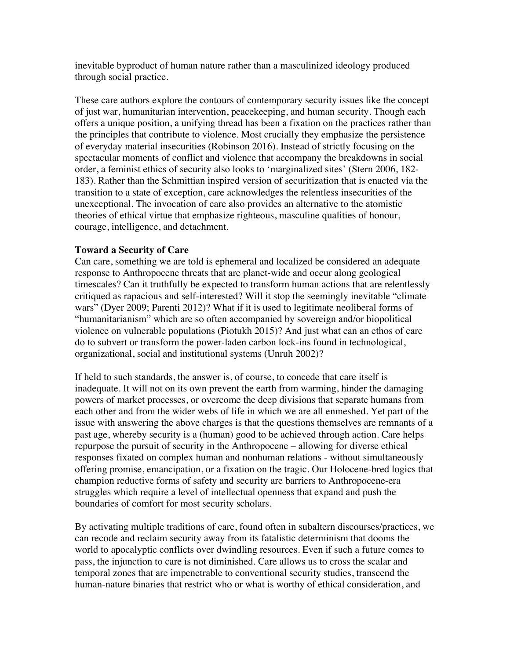inevitable byproduct of human nature rather than a masculinized ideology produced through social practice.

These care authors explore the contours of contemporary security issues like the concept of just war, humanitarian intervention, peacekeeping, and human security. Though each offers a unique position, a unifying thread has been a fixation on the practices rather than the principles that contribute to violence. Most crucially they emphasize the persistence of everyday material insecurities (Robinson 2016). Instead of strictly focusing on the spectacular moments of conflict and violence that accompany the breakdowns in social order, a feminist ethics of security also looks to 'marginalized sites' (Stern 2006, 182- 183). Rather than the Schmittian inspired version of securitization that is enacted via the transition to a state of exception, care acknowledges the relentless insecurities of the unexceptional. The invocation of care also provides an alternative to the atomistic theories of ethical virtue that emphasize righteous, masculine qualities of honour, courage, intelligence, and detachment.

## **Toward a Security of Care**

Can care, something we are told is ephemeral and localized be considered an adequate response to Anthropocene threats that are planet-wide and occur along geological timescales? Can it truthfully be expected to transform human actions that are relentlessly critiqued as rapacious and self-interested? Will it stop the seemingly inevitable "climate wars" (Dyer 2009; Parenti 2012)? What if it is used to legitimate neoliberal forms of "humanitarianism" which are so often accompanied by sovereign and/or biopolitical violence on vulnerable populations (Piotukh 2015)? And just what can an ethos of care do to subvert or transform the power-laden carbon lock-ins found in technological, organizational, social and institutional systems (Unruh 2002)?

If held to such standards, the answer is, of course, to concede that care itself is inadequate. It will not on its own prevent the earth from warming, hinder the damaging powers of market processes, or overcome the deep divisions that separate humans from each other and from the wider webs of life in which we are all enmeshed. Yet part of the issue with answering the above charges is that the questions themselves are remnants of a past age, whereby security is a (human) good to be achieved through action. Care helps repurpose the pursuit of security in the Anthropocene – allowing for diverse ethical responses fixated on complex human and nonhuman relations - without simultaneously offering promise, emancipation, or a fixation on the tragic. Our Holocene-bred logics that champion reductive forms of safety and security are barriers to Anthropocene-era struggles which require a level of intellectual openness that expand and push the boundaries of comfort for most security scholars.

By activating multiple traditions of care, found often in subaltern discourses/practices, we can recode and reclaim security away from its fatalistic determinism that dooms the world to apocalyptic conflicts over dwindling resources. Even if such a future comes to pass, the injunction to care is not diminished. Care allows us to cross the scalar and temporal zones that are impenetrable to conventional security studies, transcend the human-nature binaries that restrict who or what is worthy of ethical consideration, and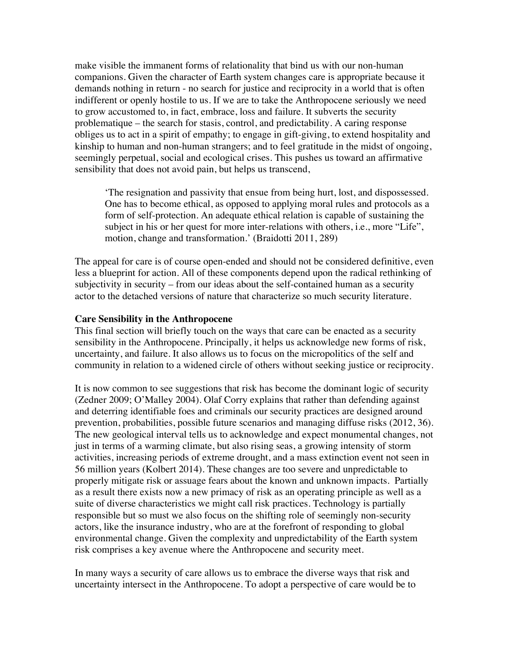make visible the immanent forms of relationality that bind us with our non-human companions. Given the character of Earth system changes care is appropriate because it demands nothing in return - no search for justice and reciprocity in a world that is often indifferent or openly hostile to us. If we are to take the Anthropocene seriously we need to grow accustomed to, in fact, embrace, loss and failure. It subverts the security problematique – the search for stasis, control, and predictability. A caring response obliges us to act in a spirit of empathy; to engage in gift-giving, to extend hospitality and kinship to human and non-human strangers; and to feel gratitude in the midst of ongoing, seemingly perpetual, social and ecological crises. This pushes us toward an affirmative sensibility that does not avoid pain, but helps us transcend,

'The resignation and passivity that ensue from being hurt, lost, and dispossessed. One has to become ethical, as opposed to applying moral rules and protocols as a form of self-protection. An adequate ethical relation is capable of sustaining the subject in his or her quest for more inter-relations with others, i.e., more "Life", motion, change and transformation.' (Braidotti 2011, 289)

The appeal for care is of course open-ended and should not be considered definitive, even less a blueprint for action. All of these components depend upon the radical rethinking of subjectivity in security – from our ideas about the self-contained human as a security actor to the detached versions of nature that characterize so much security literature.

### **Care Sensibility in the Anthropocene**

This final section will briefly touch on the ways that care can be enacted as a security sensibility in the Anthropocene. Principally, it helps us acknowledge new forms of risk, uncertainty, and failure. It also allows us to focus on the micropolitics of the self and community in relation to a widened circle of others without seeking justice or reciprocity.

It is now common to see suggestions that risk has become the dominant logic of security (Zedner 2009; O'Malley 2004). Olaf Corry explains that rather than defending against and deterring identifiable foes and criminals our security practices are designed around prevention, probabilities, possible future scenarios and managing diffuse risks (2012, 36). The new geological interval tells us to acknowledge and expect monumental changes, not just in terms of a warming climate, but also rising seas, a growing intensity of storm activities, increasing periods of extreme drought, and a mass extinction event not seen in 56 million years (Kolbert 2014). These changes are too severe and unpredictable to properly mitigate risk or assuage fears about the known and unknown impacts. Partially as a result there exists now a new primacy of risk as an operating principle as well as a suite of diverse characteristics we might call risk practices. Technology is partially responsible but so must we also focus on the shifting role of seemingly non-security actors, like the insurance industry, who are at the forefront of responding to global environmental change. Given the complexity and unpredictability of the Earth system risk comprises a key avenue where the Anthropocene and security meet.

In many ways a security of care allows us to embrace the diverse ways that risk and uncertainty intersect in the Anthropocene. To adopt a perspective of care would be to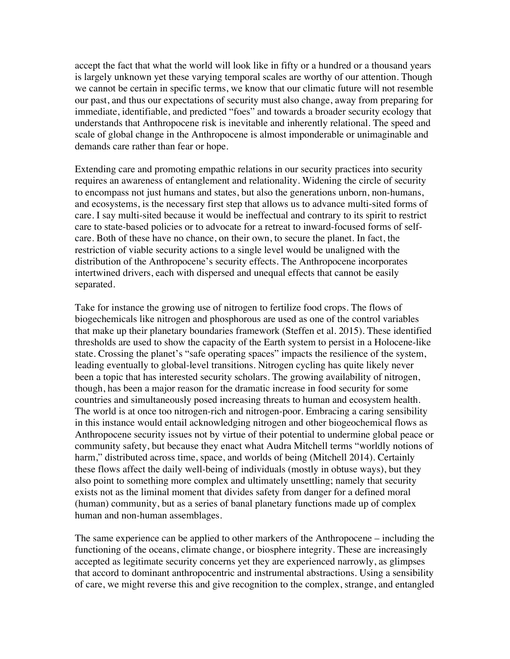accept the fact that what the world will look like in fifty or a hundred or a thousand years is largely unknown yet these varying temporal scales are worthy of our attention. Though we cannot be certain in specific terms, we know that our climatic future will not resemble our past, and thus our expectations of security must also change, away from preparing for immediate, identifiable, and predicted "foes" and towards a broader security ecology that understands that Anthropocene risk is inevitable and inherently relational. The speed and scale of global change in the Anthropocene is almost imponderable or unimaginable and demands care rather than fear or hope.

Extending care and promoting empathic relations in our security practices into security requires an awareness of entanglement and relationality. Widening the circle of security to encompass not just humans and states, but also the generations unborn, non-humans, and ecosystems, is the necessary first step that allows us to advance multi-sited forms of care. I say multi-sited because it would be ineffectual and contrary to its spirit to restrict care to state-based policies or to advocate for a retreat to inward-focused forms of selfcare. Both of these have no chance, on their own, to secure the planet. In fact, the restriction of viable security actions to a single level would be unaligned with the distribution of the Anthropocene's security effects. The Anthropocene incorporates intertwined drivers, each with dispersed and unequal effects that cannot be easily separated.

Take for instance the growing use of nitrogen to fertilize food crops. The flows of biogechemicals like nitrogen and phosphorous are used as one of the control variables that make up their planetary boundaries framework (Steffen et al. 2015). These identified thresholds are used to show the capacity of the Earth system to persist in a Holocene-like state. Crossing the planet's "safe operating spaces" impacts the resilience of the system, leading eventually to global-level transitions. Nitrogen cycling has quite likely never been a topic that has interested security scholars. The growing availability of nitrogen, though, has been a major reason for the dramatic increase in food security for some countries and simultaneously posed increasing threats to human and ecosystem health. The world is at once too nitrogen-rich and nitrogen-poor. Embracing a caring sensibility in this instance would entail acknowledging nitrogen and other biogeochemical flows as Anthropocene security issues not by virtue of their potential to undermine global peace or community safety, but because they enact what Audra Mitchell terms "worldly notions of harm," distributed across time, space, and worlds of being (Mitchell 2014). Certainly these flows affect the daily well-being of individuals (mostly in obtuse ways), but they also point to something more complex and ultimately unsettling; namely that security exists not as the liminal moment that divides safety from danger for a defined moral (human) community, but as a series of banal planetary functions made up of complex human and non-human assemblages.

The same experience can be applied to other markers of the Anthropocene – including the functioning of the oceans, climate change, or biosphere integrity. These are increasingly accepted as legitimate security concerns yet they are experienced narrowly, as glimpses that accord to dominant anthropocentric and instrumental abstractions. Using a sensibility of care, we might reverse this and give recognition to the complex, strange, and entangled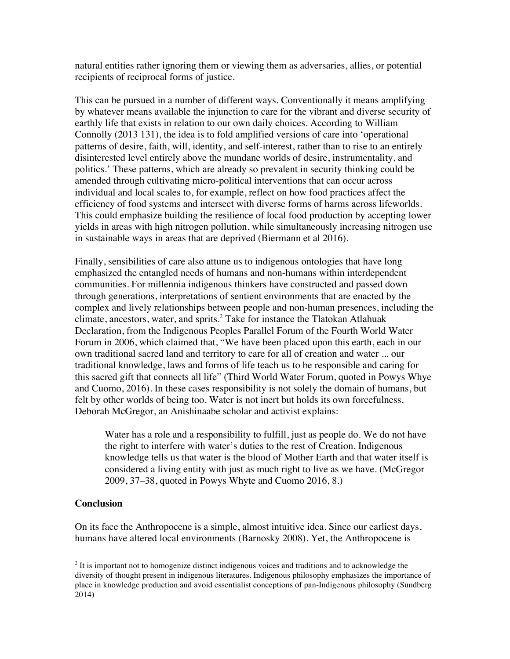natural entities rather ignoring them or viewing them as adversaries, allies, or potential recipients of reciprocal forms of justice.

This can be pursued in a number of different ways. Conventionally it means amplifying by whatever means available the injunction to care for the vibrant and diverse security of earthly life that exists in relation to our own daily choices. According to William Connolly (2013 131), the idea is to fold amplified versions of care into 'operational patterns of desire, faith, will, identity, and self-interest, rather than to rise to an entirely disinterested level entirely above the mundane worlds of desire, instrumentality, and politics.' These patterns, which are already so prevalent in security thinking could be amended through cultivating micro-political interventions that can occur across individual and local scales to, for example, reflect on how food practices affect the efficiency of food systems and intersect with diverse forms of harms across lifeworlds. This could emphasize building the resilience of local food production by accepting lower yields in areas with high nitrogen pollution, while simultaneously increasing nitrogen use in sustainable ways in areas that are deprived (Biermann et al 2016).

Finally, sensibilities of care also attune us to indigenous ontologies that have long emphasized the entangled needs of humans and non-humans within interdependent communities. For millennia indigenous thinkers have constructed and passed down through generations, interpretations of sentient environments that are enacted by the complex and lively relationships between people and non-human presences, including the climate, ancestors, water, and sprits.<sup>2</sup> Take for instance the Tlatokan Atlahuak Declaration, from the Indigenous Peoples Parallel Forum of the Fourth World Water Forum in 2006, which claimed that, "We have been placed upon this earth, each in our own traditional sacred land and territory to care for all of creation and water ... our traditional knowledge, laws and forms of life teach us to be responsible and caring for this sacred gift that connects all life" (Third World Water Forum, quoted in Powys Whye and Cuomo, 2016). In these cases responsibility is not solely the domain of humans, but felt by other worlds of being too. Water is not inert but holds its own forcefulness. Deborah McGregor, an Anishinaabe scholar and activist explains:

Water has a role and a responsibility to fulfill, just as people do. We do not have the right to interfere with water's duties to the rest of Creation. Indigenous knowledge tells us that water is the blood of Mother Earth and that water itself is considered a living entity with just as much right to live as we have. (McGregor 2009, 37–38, quoted in Powys Whyte and Cuomo 2016, 8.)

# **Conclusion**

 

On its face the Anthropocene is a simple, almost intuitive idea. Since our earliest days, humans have altered local environments (Barnosky 2008). Yet, the Anthropocene is

 $2$  It is important not to homogenize distinct indigenous voices and traditions and to acknowledge the diversity of thought present in indigenous literatures. Indigenous philosophy emphasizes the importance of place in knowledge production and avoid essentialist conceptions of pan-Indigenous philosophy (Sundberg 2014)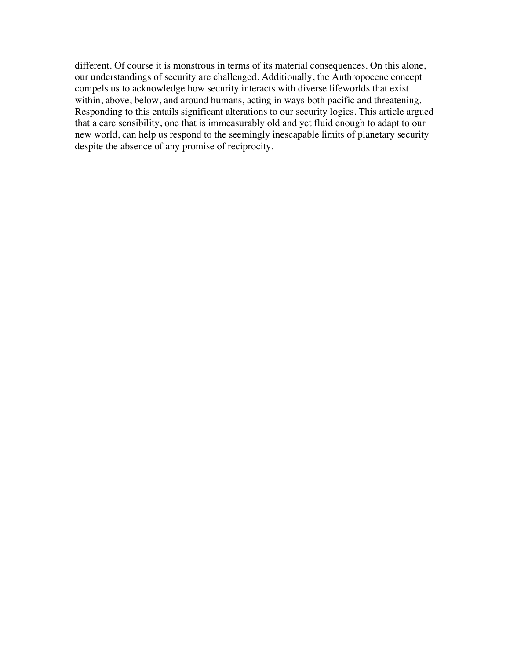different. Of course it is monstrous in terms of its material consequences. On this alone, our understandings of security are challenged. Additionally, the Anthropocene concept compels us to acknowledge how security interacts with diverse lifeworlds that exist within, above, below, and around humans, acting in ways both pacific and threatening. Responding to this entails significant alterations to our security logics. This article argued that a care sensibility, one that is immeasurably old and yet fluid enough to adapt to our new world, can help us respond to the seemingly inescapable limits of planetary security despite the absence of any promise of reciprocity.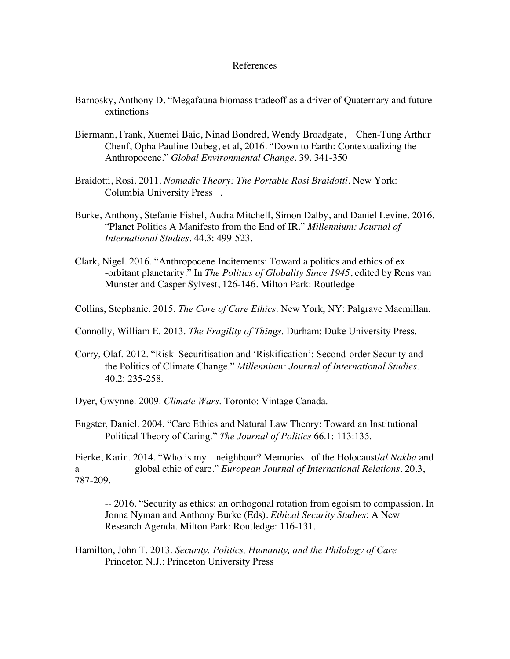### References

- Barnosky, Anthony D. "Megafauna biomass tradeoff as a driver of Quaternary and future extinctions
- Biermann, Frank, Xuemei Baic, Ninad Bondred, Wendy Broadgate, Chen-Tung Arthur Chenf, Opha Pauline Dubeg, et al, 2016. "Down to Earth: Contextualizing the Anthropocene." *Global Environmental Change*. 39. 341-350
- Braidotti, Rosi. 2011. *Nomadic Theory: The Portable Rosi Braidotti*. New York: Columbia University Press .
- Burke, Anthony, Stefanie Fishel, Audra Mitchell, Simon Dalby, and Daniel Levine. 2016. "Planet Politics A Manifesto from the End of IR." *Millennium: Journal of International Studies*. 44.3: 499-523.
- Clark, Nigel. 2016. "Anthropocene Incitements: Toward a politics and ethics of ex -orbitant planetarity." In *The Politics of Globality Since 1945*, edited by Rens van Munster and Casper Sylvest, 126-146. Milton Park: Routledge

Collins, Stephanie. 2015. *The Core of Care Ethics*. New York, NY: Palgrave Macmillan.

Connolly, William E. 2013. *The Fragility of Things*. Durham: Duke University Press.

Corry, Olaf. 2012. "Risk Securitisation and 'Riskification': Second-order Security and the Politics of Climate Change." *Millennium: Journal of International Studies*. 40.2: 235-258.

Dyer, Gwynne. 2009. *Climate Wars*. Toronto: Vintage Canada.

Engster, Daniel. 2004. "Care Ethics and Natural Law Theory: Toward an Institutional Political Theory of Caring." *The Journal of Politics* 66.1: 113:135.

Fierke, Karin. 2014. "Who is my neighbour? Memories of the Holocaust/*al Nakba* and a global ethic of care." *European Journal of International Relations*. 20.3, 787-209.

-- 2016. "Security as ethics: an orthogonal rotation from egoism to compassion. In Jonna Nyman and Anthony Burke (Eds). *Ethical Security Studies*: A New Research Agenda. Milton Park: Routledge: 116-131.

Hamilton, John T. 2013. *Security. Politics, Humanity, and the Philology of Care* Princeton N.J.: Princeton University Press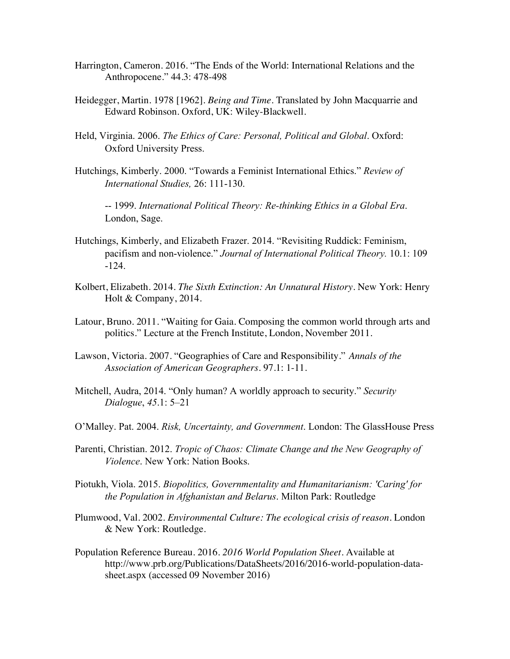- Harrington, Cameron. 2016. "The Ends of the World: International Relations and the Anthropocene." 44.3: 478-498
- Heidegger, Martin. 1978 [1962]. *Being and Time*. Translated by John Macquarrie and Edward Robinson. Oxford, UK: Wiley-Blackwell.
- Held, Virginia. 2006. *The Ethics of Care: Personal, Political and Global*. Oxford: Oxford University Press.
- Hutchings, Kimberly. 2000. "Towards a Feminist International Ethics." *Review of International Studies,* 26: 111-130.

-- 1999. *International Political Theory: Re-thinking Ethics in a Global Era*. London, Sage.

- Hutchings, Kimberly, and Elizabeth Frazer. 2014. "Revisiting Ruddick: Feminism, pacifism and non-violence." *Journal of International Political Theory.* 10.1: 109 -124.
- Kolbert, Elizabeth. 2014. *The Sixth Extinction: An Unnatural History.* New York: Henry Holt & Company, 2014.
- Latour, Bruno. 2011. "Waiting for Gaia. Composing the common world through arts and politics." Lecture at the French Institute, London, November 2011.
- Lawson, Victoria. 2007. "Geographies of Care and Responsibility." *Annals of the Association of American Geographers*. 97.1: 1-11.
- Mitchell, Audra, 2014. "Only human? A worldly approach to security." *Security Dialogue*, *45*.1: 5–21
- O'Malley. Pat. 2004. *Risk, Uncertainty, and Government*. London: The GlassHouse Press
- Parenti, Christian. 2012. *Tropic of Chaos: Climate Change and the New Geography of Violence*. New York: Nation Books.
- Piotukh, Viola. 2015. *Biopolitics, Governmentality and Humanitarianism: 'Caring' for the Population in Afghanistan and Belarus*. Milton Park: Routledge
- Plumwood, Val. 2002. *Environmental Culture: The ecological crisis of reason*. London & New York: Routledge.
- Population Reference Bureau. 2016. *2016 World Population Sheet.* Available at http://www.prb.org/Publications/DataSheets/2016/2016-world-population-datasheet.aspx (accessed 09 November 2016)